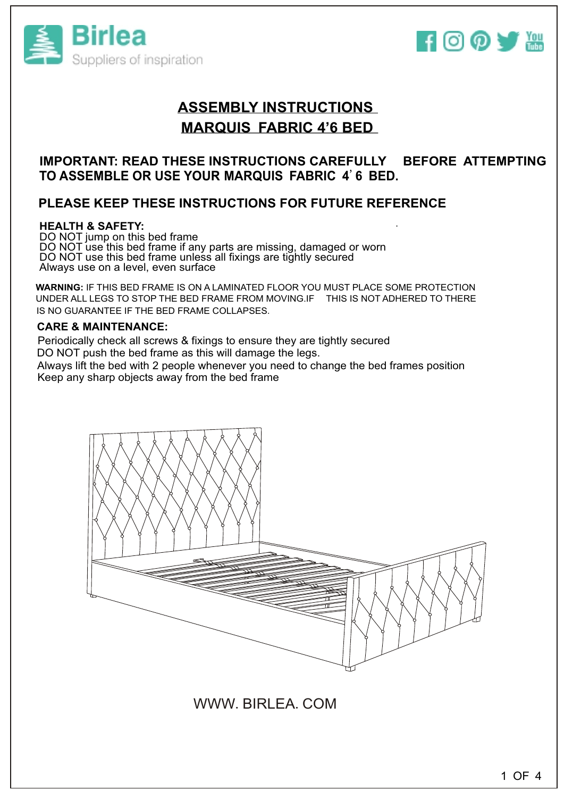



# **ASSEMBLY INSTRUCTIONS MARQUIS FABRIC 4'6 BED**

### **IMPORTANT: READ THESE INSTRUCTIONS CAREFULLY BEFORE ATTEMPTING TO ASSEMBLE OR USE YOUR MARQUIS FABRIC 4**'**6 BED.**

### **PLEASE KEEP THESE INSTRUCTIONS FOR FUTURE REFERENCE**

### **HEALTH & SAFETY** . **:**

DO NOT jump on this bed frame DO NOT use this bed frame if any parts are missing, damaged or worn DO NOT use this bed frame unless all fixings are tightly secured Always use on a level, even surface

**WARNING:** IF THIS BED FRAME IS ON A LAMINATED FLOOR YOU MUST PLACE SOME PROTECTION UNDER ALL LEGS TO STOP THE BED FRAME FROM MOVING.IF THIS IS NOT ADHERED TO THERE IS NO GUARANTEE IF THE BED FRAME COLLAPSES.

### **CARE & MAINTENANCE:**

Periodically check all screws & fixings to ensure they are tightly secured DO NOT push the bed frame as this will damage the legs.

Always lift the bed with 2 people whenever you need to change the bed frames position Keep any sharp objects away from the bed frame



WWW.BIRLEA.COM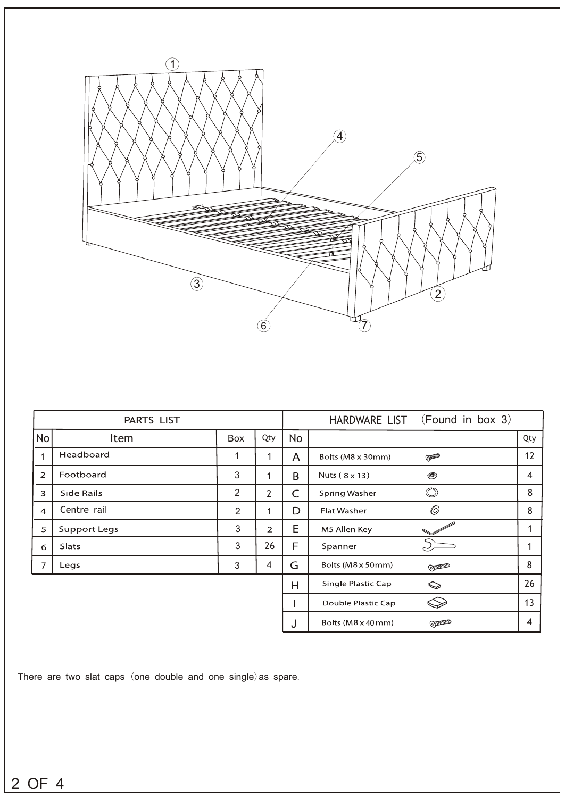

|                | PARTS LIST          |                |                |    | HARDWARE LIST (Found in box 3)              |     |
|----------------|---------------------|----------------|----------------|----|---------------------------------------------|-----|
| <b>No</b>      | Item                | Box            | Qty            | No |                                             | Qty |
| 1              | Headboard           | 1              | 1              | A  | Bolts (M8 x 30mm)<br><b>ODDERED</b>         | 12  |
| $\overline{2}$ | Footboard           | 3              | 1              | B  | Nuts (8 x 13)<br>$\circledast$              | 4   |
| 3              | Side Rails          | $\overline{2}$ | $\overline{2}$ | C  | $\circledcirc$<br><b>Spring Washer</b>      | 8   |
| $\overline{4}$ | Centre rail         | 2              | $\mathbf{1}$   | D  | $\circledcirc$<br><b>Flat Washer</b>        | 8   |
| 5              | <b>Support Legs</b> | 3              | $\overline{2}$ | E  | M5 Allen Key                                | 1   |
| 6              | Slats               | 3              | 26             | F  | Spanner                                     |     |
| $\overline{7}$ | Legs                | 3              | 4              | G  | Bolts (M8 x 50mm)<br><b>COMMAND</b>         | 8   |
|                |                     |                |                | H  | Single Plastic Cap<br>$\, \, \otimes$       | 26  |
|                |                     |                |                |    | Double Plastic Cap                          | 13  |
|                |                     |                |                | J  | Bolts ( $M8 \times 40$ mm)<br><b>ODDDDD</b> | 4   |

There are two slat caps (one double and one single)as spare.

OF 4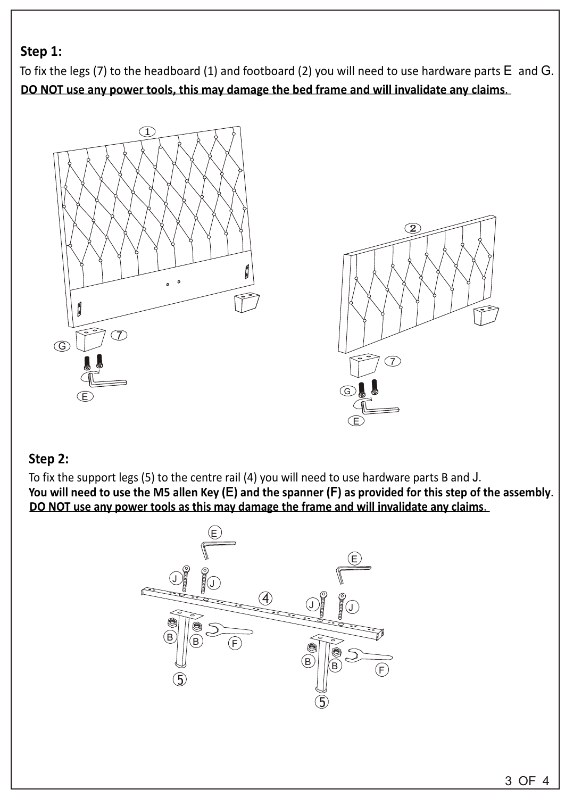## **Step 1:**

To fix the legs (7) to the headboard (1) and footboard (2) you will need to use hardware parts E and G. **DO NOT use any power tools, this may damage the bed frame and will invalidate any claims**.





## **Step 2:**

To fix the support legs (5) to the centre rail (4) you will need to use hardware parts B and J. You will need to use the M5 allen Key (E) and the spanner (F) as provided for this step of the assembly. **DO NOT use any power tools as this may damage the frame and will invalidate any claims**.